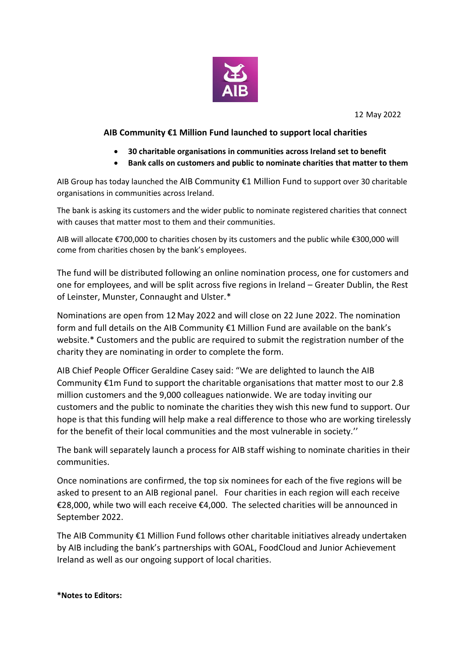

12 May 2022

## **AIB Community €1 Million Fund launched to support local charities**

- **30 charitable organisations in communities across Ireland set to benefit**
- **Bank calls on customers and public to nominate charities that matter to them**

AIB Group has today launched the AIB Community €1 Million Fund to support over 30 charitable organisations in communities across Ireland.

The bank is asking its customers and the wider public to nominate registered charities that connect with causes that matter most to them and their communities.

AIB will allocate €700,000 to charities chosen by its customers and the public while €300,000 will come from charities chosen by the bank's employees.

The fund will be distributed following an online nomination process, one for customers and one for employees, and will be split across five regions in Ireland – Greater Dublin, the Rest of Leinster, Munster, Connaught and Ulster.\*

Nominations are open from 12 May 2022 and will close on 22 June 2022. The nomination form and full details on the AIB Community €1 Million Fund are available on the bank's website.\* Customers and the public are required to submit the registration number of the charity they are nominating in order to complete the form.

AIB Chief People Officer Geraldine Casey said: "We are delighted to launch the AIB Community €1m Fund to support the charitable organisations that matter most to our 2.8 million customers and the 9,000 colleagues nationwide. We are today inviting our customers and the public to nominate the charities they wish this new fund to support. Our hope is that this funding will help make a real difference to those who are working tirelessly for the benefit of their local communities and the most vulnerable in society.''

The bank will separately launch a process for AIB staff wishing to nominate charities in their communities.

Once nominations are confirmed, the top six nominees for each of the five regions will be asked to present to an AIB regional panel. Four charities in each region will each receive €28,000, while two will each receive €4,000. The selected charities will be announced in September 2022.

The AIB Community €1 Million Fund follows other charitable initiatives already undertaken by AIB including the bank's partnerships with GOAL, FoodCloud and Junior Achievement Ireland as well as our ongoing support of local charities.

**\*Notes to Editors:**